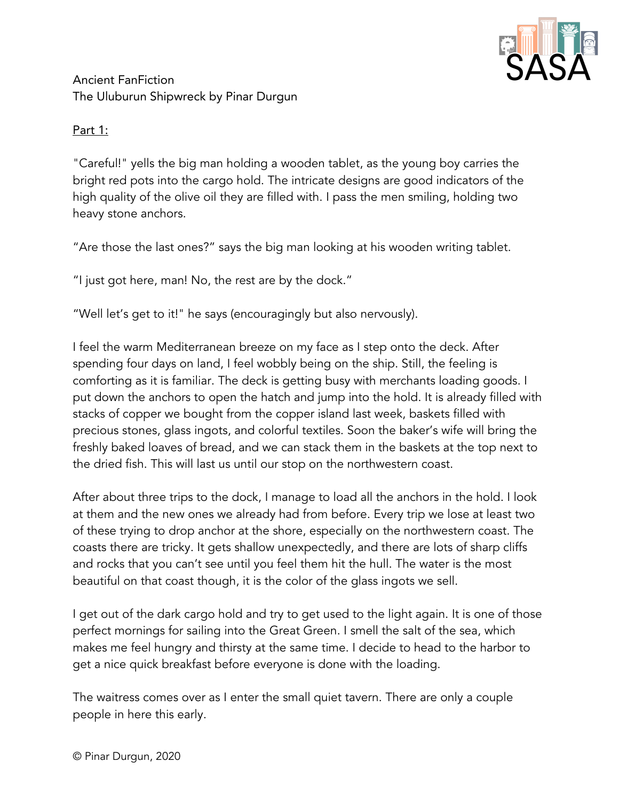

# Ancient FanFiction The Uluburun Shipwreck by Pinar Durgun

### Part 1:

"Careful!" yells the big man holding a wooden tablet, as the young boy carries the bright red pots into the cargo hold. The intricate designs are good indicators of the high quality of the olive oil they are filled with. I pass the men smiling, holding two heavy stone anchors.

"Are those the last ones?" says the big man looking at his wooden writing tablet.

"I just got here, man! No, the rest are by the dock."

"Well let's get to it!" he says (encouragingly but also nervously).

I feel the warm Mediterranean breeze on my face as I step onto the deck. After spending four days on land, I feel wobbly being on the ship. Still, the feeling is comforting as it is familiar. The deck is getting busy with merchants loading goods. I put down the anchors to open the hatch and jump into the hold. It is already filled with stacks of copper we bought from the copper island last week, baskets filled with precious stones, glass ingots, and colorful textiles. Soon the baker's wife will bring the freshly baked loaves of bread, and we can stack them in the baskets at the top next to the dried fish. This will last us until our stop on the northwestern coast.

After about three trips to the dock, I manage to load all the anchors in the hold. I look at them and the new ones we already had from before. Every trip we lose at least two of these trying to drop anchor at the shore, especially on the northwestern coast. The coasts there are tricky. It gets shallow unexpectedly, and there are lots of sharp cliffs and rocks that you can't see until you feel them hit the hull. The water is the most beautiful on that coast though, it is the color of the glass ingots we sell.

I get out of the dark cargo hold and try to get used to the light again. It is one of those perfect mornings for sailing into the Great Green. I smell the salt of the sea, which makes me feel hungry and thirsty at the same time. I decide to head to the harbor to get a nice quick breakfast before everyone is done with the loading.

The waitress comes over as I enter the small quiet tavern. There are only a couple people in here this early.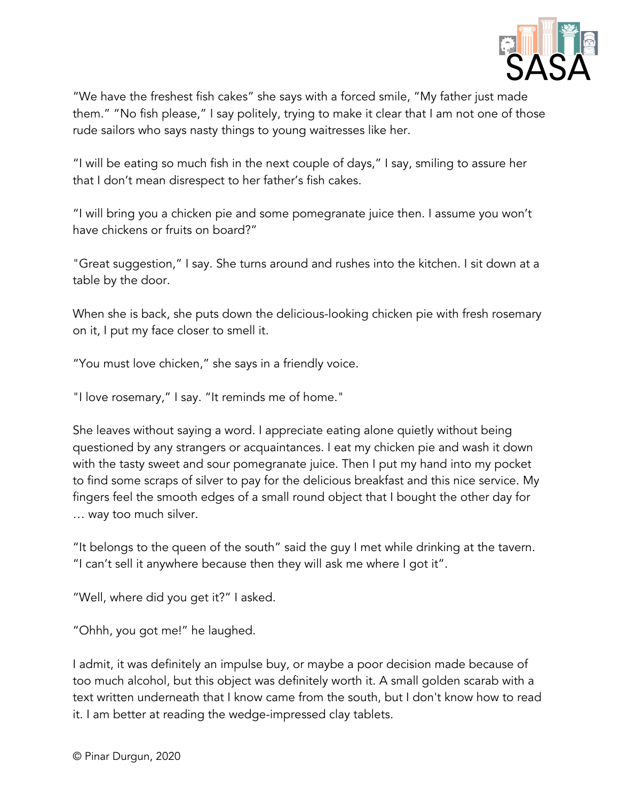

"We have the freshest fish cakes" she says with a forced smile, "My father just made them." "No fish please," I say politely, trying to make it clear that I am not one of those rude sailors who says nasty things to young waitresses like her.

"I will be eating so much fish in the next couple of days," I say, smiling to assure her that I don't mean disrespect to her father's fish cakes.

"I will bring you a chicken pie and some pomegranate juice then. I assume you won't have chickens or fruits on board?"

"Great suggestion," I say. She turns around and rushes into the kitchen. I sit down at a table by the door.

When she is back, she puts down the delicious-looking chicken pie with fresh rosemary on it, I put my face closer to smell it.

"You must love chicken," she says in a friendly voice.

"I love rosemary," I say. "It reminds me of home."

She leaves without saying a word. I appreciate eating alone quietly without being questioned by any strangers or acquaintances. I eat my chicken pie and wash it down with the tasty sweet and sour pomegranate juice. Then I put my hand into my pocket to find some scraps of silver to pay for the delicious breakfast and this nice service. My fingers feel the smooth edges of a small round object that I bought the other day for … way too much silver.

"It belongs to the queen of the south" said the guy I met while drinking at the tavern. "I can't sell it anywhere because then they will ask me where I got it".

"Well, where did you get it?" I asked.

"Ohhh, you got me!" he laughed.

I admit, it was definitely an impulse buy, or maybe a poor decision made because of too much alcohol, but this object was definitely worth it. A small golden scarab with a text written underneath that I know came from the south, but I don't know how to read it. I am better at reading the wedge-impressed clay tablets.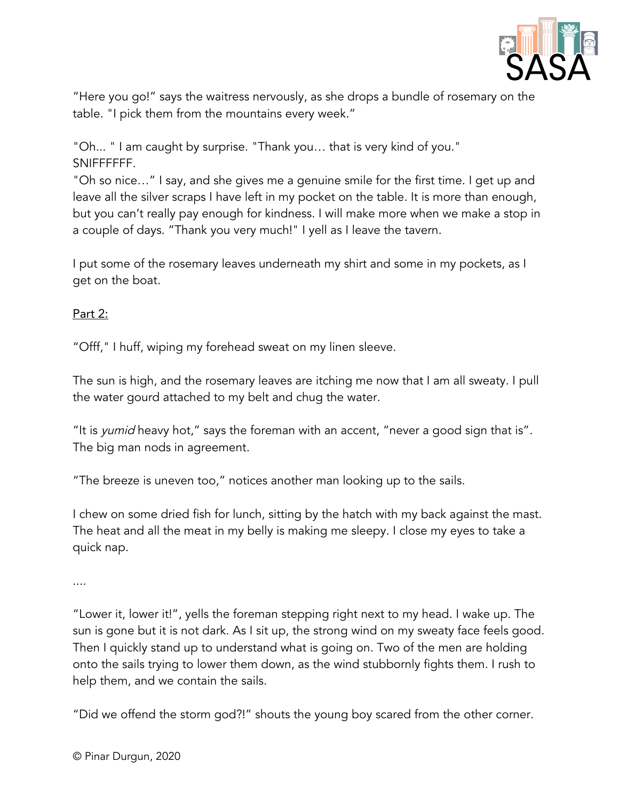

"Here you go!" says the waitress nervously, as she drops a bundle of rosemary on the table. "I pick them from the mountains every week."

"Oh... " I am caught by surprise. "Thank you… that is very kind of you." SNIFFFFFF.

"Oh so nice…" I say, and she gives me a genuine smile for the first time. I get up and leave all the silver scraps I have left in my pocket on the table. It is more than enough, but you can't really pay enough for kindness. I will make more when we make a stop in a couple of days. "Thank you very much!" I yell as I leave the tavern.

I put some of the rosemary leaves underneath my shirt and some in my pockets, as I get on the boat.

# Part 2:

"Offf," I huff, wiping my forehead sweat on my linen sleeve.

The sun is high, and the rosemary leaves are itching me now that I am all sweaty. I pull the water gourd attached to my belt and chug the water.

"It is *yumid* heavy hot," says the foreman with an accent, "never a good sign that is". The big man nods in agreement.

"The breeze is uneven too," notices another man looking up to the sails.

I chew on some dried fish for lunch, sitting by the hatch with my back against the mast. The heat and all the meat in my belly is making me sleepy. I close my eyes to take a quick nap.

....

"Lower it, lower it!", yells the foreman stepping right next to my head. I wake up. The sun is gone but it is not dark. As I sit up, the strong wind on my sweaty face feels good. Then I quickly stand up to understand what is going on. Two of the men are holding onto the sails trying to lower them down, as the wind stubbornly fights them. I rush to help them, and we contain the sails.

"Did we offend the storm god?!" shouts the young boy scared from the other corner.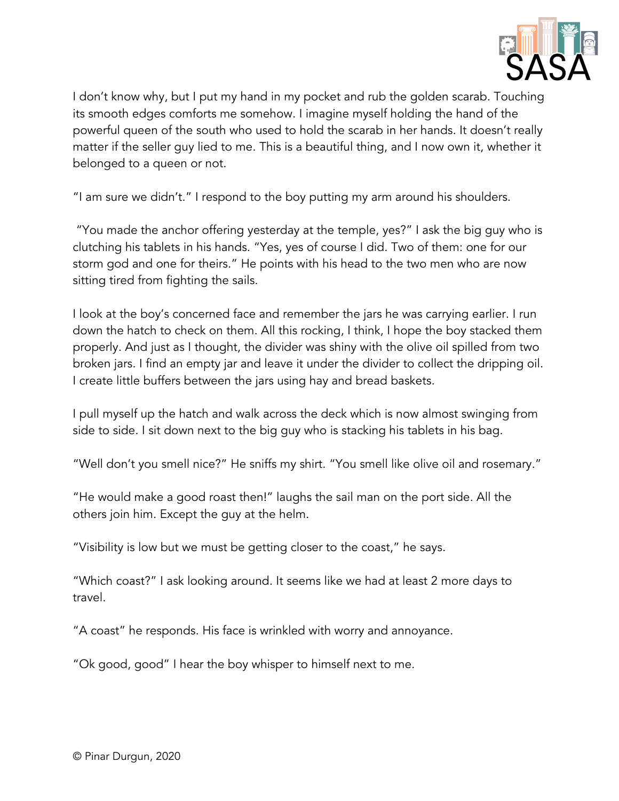

I don't know why, but I put my hand in my pocket and rub the golden scarab. Touching its smooth edges comforts me somehow. I imagine myself holding the hand of the powerful queen of the south who used to hold the scarab in her hands. It doesn't really matter if the seller guy lied to me. This is a beautiful thing, and I now own it, whether it belonged to a queen or not.

"I am sure we didn't." I respond to the boy putting my arm around his shoulders.

"You made the anchor offering yesterday at the temple, yes?" I ask the big guy who is clutching his tablets in his hands. "Yes, yes of course I did. Two of them: one for our storm god and one for theirs." He points with his head to the two men who are now sitting tired from fighting the sails.

I look at the boy's concerned face and remember the jars he was carrying earlier. I run down the hatch to check on them. All this rocking, I think, I hope the boy stacked them properly. And just as I thought, the divider was shiny with the olive oil spilled from two broken jars. I find an empty jar and leave it under the divider to collect the dripping oil. I create little buffers between the jars using hay and bread baskets.

I pull myself up the hatch and walk across the deck which is now almost swinging from side to side. I sit down next to the big guy who is stacking his tablets in his bag.

"Well don't you smell nice?" He sniffs my shirt. "You smell like olive oil and rosemary."

"He would make a good roast then!" laughs the sail man on the port side. All the others join him. Except the guy at the helm.

"Visibility is low but we must be getting closer to the coast," he says.

"Which coast?" I ask looking around. It seems like we had at least 2 more days to travel.

"A coast" he responds. His face is wrinkled with worry and annoyance.

"Ok good, good" I hear the boy whisper to himself next to me.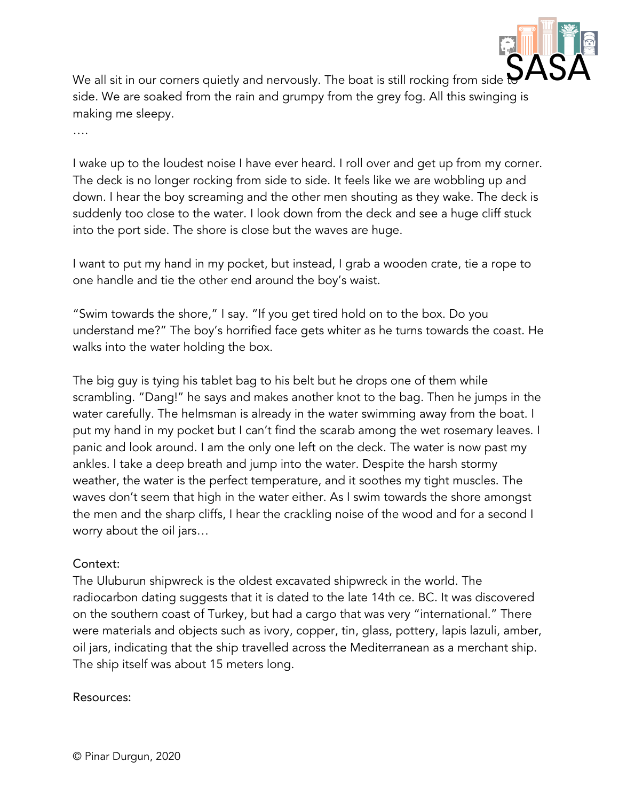

We all sit in our corners quietly and nervously. The boat is still rocking from side side. We are soaked from the rain and grumpy from the grey fog. All this swinging is making me sleepy.

….

I wake up to the loudest noise I have ever heard. I roll over and get up from my corner. The deck is no longer rocking from side to side. It feels like we are wobbling up and down. I hear the boy screaming and the other men shouting as they wake. The deck is suddenly too close to the water. I look down from the deck and see a huge cliff stuck into the port side. The shore is close but the waves are huge.

I want to put my hand in my pocket, but instead, I grab a wooden crate, tie a rope to one handle and tie the other end around the boy's waist.

"Swim towards the shore," I say. "If you get tired hold on to the box. Do you understand me?" The boy's horrified face gets whiter as he turns towards the coast. He walks into the water holding the box.

The big guy is tying his tablet bag to his belt but he drops one of them while scrambling. "Dang!" he says and makes another knot to the bag. Then he jumps in the water carefully. The helmsman is already in the water swimming away from the boat. I put my hand in my pocket but I can't find the scarab among the wet rosemary leaves. I panic and look around. I am the only one left on the deck. The water is now past my ankles. I take a deep breath and jump into the water. Despite the harsh stormy weather, the water is the perfect temperature, and it soothes my tight muscles. The waves don't seem that high in the water either. As I swim towards the shore amongst the men and the sharp cliffs, I hear the crackling noise of the wood and for a second I worry about the oil jars…

#### Context:

The Uluburun shipwreck is the oldest excavated shipwreck in the world. The radiocarbon dating suggests that it is dated to the late 14th ce. BC. It was discovered on the southern coast of Turkey, but had a cargo that was very "international." There were materials and objects such as ivory, copper, tin, glass, pottery, lapis lazuli, amber, oil jars, indicating that the ship travelled across the Mediterranean as a merchant ship. The ship itself was about 15 meters long.

#### Resources: